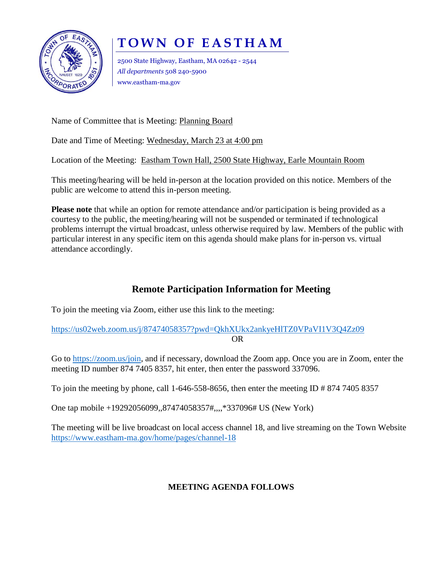

## **T O W N O F E A S T H A M**

2500 State Highway, Eastham, MA 02642 - 2544 *All departments* 508 240-5900 www.eastham-ma.gov

Name of Committee that is Meeting: Planning Board

Date and Time of Meeting: Wednesday, March 23 at 4:00 pm

Location of the Meeting: Eastham Town Hall, 2500 State Highway, Earle Mountain Room

This meeting/hearing will be held in-person at the location provided on this notice. Members of the public are welcome to attend this in-person meeting.

**Please note** that while an option for remote attendance and/or participation is being provided as a courtesy to the public, the meeting/hearing will not be suspended or terminated if technological problems interrupt the virtual broadcast, unless otherwise required by law. Members of the public with particular interest in any specific item on this agenda should make plans for in-person vs. virtual attendance accordingly.

## **Remote Participation Information for Meeting**

To join the meeting via Zoom, either use this link to the meeting:

<https://us02web.zoom.us/j/87474058357?pwd=QkhXUkx2ankyeHlTZ0VPaVI1V3Q4Zz09> OR

Go to [https://zoom.us/join,](https://zoom.us/join) and if necessary, download the Zoom app. Once you are in Zoom, enter the meeting ID number 874 7405 8357, hit enter, then enter the password 337096.

To join the meeting by phone, call 1-646-558-8656, then enter the meeting ID # 874 7405 8357

One tap mobile +19292056099,,87474058357#,,,,\*337096# US (New York)

The meeting will be live broadcast on local access channel 18, and live streaming on the Town Website <https://www.eastham-ma.gov/home/pages/channel-18>

## **MEETING AGENDA FOLLOWS**